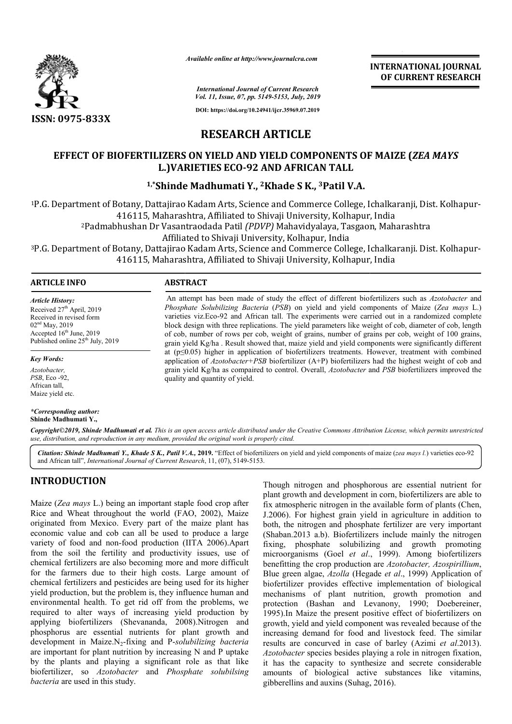

*Available online at http://www.journalcra.com*

**INTERNATIONAL JOURNAL OF CURRENT RESEARCH**

*International Journal of Current Research Vol. 11, Issue, 07, pp. 5149-5153, July, 2019*

**DOI: https://doi.org/10.24941/ijcr.35969.07.2019**

# **RESEARCH ARTICLE**

# **EFFECT OF BIOFERTILIZERS ON YIELD AND YIELD COMPONENTS OF MAIZE ( YIELD COMPONENTS (***ZEA MAYS*  **L.)VARIETIES ECO ECO-92 AND AFRICAN TALL**

# <sup>1,\*</sup>Shinde Madhumati Y., <sup>2</sup>Khade S K., <sup>3</sup>Patil V.A.

1P.G. Department of Botany, Dattajirao Kadam Arts, Science and Commerce College, Ichalkaranji, Dist. Kolhapur-<br>416115, Maharashtra, Affiliated to Shivaji University, Kolhapur, India 416115, Maharashtra, Affiliated to Shivaji University, Kolhapur, India 2Padmabhushan Dr Vasantraodada Patil Padmabhushan *(PDVP)* Mahavidyalaya, Tasgaon, Affiliated to Tasgaon, Maharashtra

Affiliated to Shivaji University, Kolhapur, India

<sup>3</sup>P.G. Department of Botany, Dattajirao Kadam Arts, Science and Commerce College, Ichalkaranji. Dist. Kolhapur-<br>416115, Maharashtra, Affiliated to Shivaji University, Kolhapur, India 416115, Maharasht Affiliated to

> An attempt has been made of study the effect of different biofertilizers such as Azotobacter and *Phosphate Solubilizing Bacteria (PSB)* on yield and yield components of Maize (*Zea mays L.*) varieties viz.Eco-92 and African tall. The experiments were carried out in a randomized complete block design with three replications. The yield parameters like weight of cob, diameter of cob, length of cob, number of rows per cob, weig weight of grains, number of grains per cob, weight of 100 grains, grain yield Kg/ha . Result showed that, maize yield and yield components were significantly different at (p≤0.05) 0.05) higher in application of biofertilizers treatments. However, treatment with comb application of *Azotobacter+PSB* biofertilizer (A+P) biofertilizers had the highest weight of cob and grain yield Kg/ha as compaired to control. Overall, *Azotobacter* and *PSB* biofertilizers improved the

> varieties viz.Eco-92 and African tall. The experiments were carried out in a randomized complete block design with three replications. The yield parameters like weight of cob, diameter of cob, length of cob, number of rows

#### **ARTICLE INFO ABSTRACT**

*Article History:* Received 27<sup>th</sup> April, 2019 Received in revised form 02nd May, 2019 Accepted 16<sup>th</sup> June, 2019 Published online 25<sup>th</sup> July, 2019

*Key Words:*

*Azotobacter, PSB*, Eco -92, African tall, Maize yield etc.

#### *\*Corresponding author:* **Shinde Madhumati Y.,**

Copyright©2019, Shinde Madhumati et al. This is an open access article distributed under the Creative Commons Attribution License, which permits unrestrictea *use, distribution, and reproduction in any medium, provided the original work is properly cited.*

quality and quantity of yield.

Citation: Shinde Madhumati Y., Khade S K., Patil V.A., 2019. "Effect of biofertilizers on yield and yield components of maize (zea mays l.) varieties eco-92 and African tall", *International Journal of Current Research* , 11, (07), 5149-5153.

# **INTRODUCTION**

Maize (*Zea mays* L.) being an important staple food crop after Rice and Wheat throughout the world (FAO, 2002), Maize originated from Mexico. Every part of the maize plant has economic value and cob can all be used to produce a large variety of food and non-food production (IITA 2006).Apart from the soil the fertility and productivity issues, use of chemical fertilizers are also becoming more and more difficult for the farmers due to their high costs. Large amount of chemical fertilizers and pesticides are being used for its higher yield production, but the problem is, they influence human and environmental health. To get rid off from the problems, we required to alter ways of increasing yield production by applying biofertilizers (Shevananda, 2008).Nitrogen and phosphorus are essential nutrients for plant growth and development in Maize.N2-fixing and P-*solubilizing bacteria* are important for plant nutrition by increasing N and P uptake by the plants and playing a significant role as that like biofertilizer, so *Azotobacter* and *Phosphate solubilsing bacteria* are used in this study. d and non-food production (IITA 2006).Apart<br>the fertility and productivity issues, use of<br>izers are also becoming more and more difficult<br>rs due to their high costs. Large amount of

Though nitrogen and phosphorous are essential nutrient for plant growth and development in corn, biofertilizers are able to fix atmospheric nitrogen in the available form of plants (Chen, J.2006). For highest grain yield in agriculture in addition to both, the nitrogen and phosphate fertilizer are very important (Shaban.2013 a.b). Biofertilizers include mainly the nitrogen (Shaban.2013 a.b). Biofertilizers include mainly the nitrogen fixing, phosphate solubilizing and growth promoting microorganisms (Goel *et al*., 1999). Among biofertilizers benefitting the crop production are *Azotobacter*, *Azospirillium*, Blue green algae, *Azolla* (Hegade *et al*., 1999) Application of biofertilizer provides effective implementation of biological mechanisms of plant nutrition, growth promotion and protection (Bashan and Levanony, 1990; Doebereiner, 1995).In Maize the present positive effect of biofertilizers on growth, yield and yield component was revealed because of the increasing demand for food and livestock feed. results are concurved in case of barley (Azimi *et al*.2013). *Azotobacter* species besides playing a role in nitrogen fixation, it has the capacity to synthesize and secrete considerable amounts of biological active substances like vitamins, gibberellins and auxins (Suhag, 2016). plant growth and development in corn, biofertilizers are able to fix atmospheric nitrogen in the available form of plants (Chen, J.2006). For highest grain yield in agriculture in addition to both, the nitrogen and phospha provides effective implementation of biological<br>of plant nutrition, growth promotion and<br>(Bashan and Levanony, 1990; Doebereiner,<br>ize the present positive effect of biofertilizers on<br>d and yield component was revealed beca INTERNATIONAL JOURNAL<br>
INTERNATIONAL JOURNAL<br>
INTERNATIONAL JOURNAL<br>
ISIA: July, 2019<br>
1915.), July, 2019<br>
1915. July, 2019<br>
IRTICLE<br>
ELD COMPONENTS OF MAIZE (*ZEA MAYS*<br>
ID AFRICAN TALL<br>
ID AFRICAN TALL<br>
ID AFRICAN TALL<br>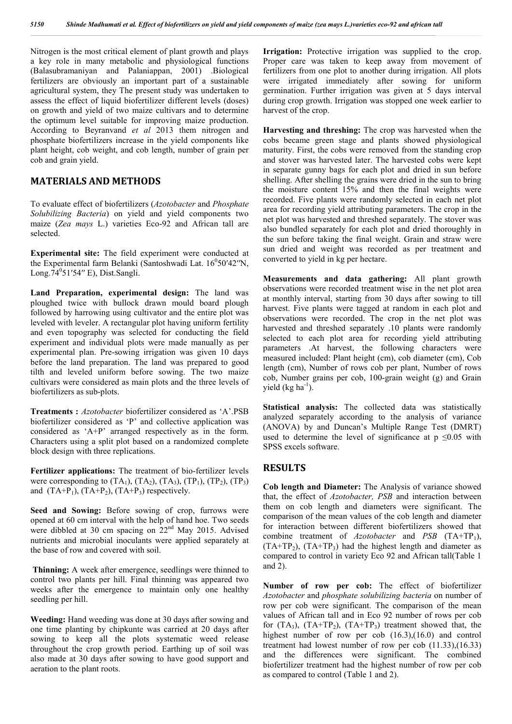Nitrogen is the most critical element of plant growth and plays a key role in many metabolic and physiological functions (Balasubramaniyan and Palaniappan, 2001) .Biological fertilizers are obviously an important part of a sustainable agricultural system, they The present study was undertaken to assess the effect of liquid biofertilizer different levels (doses) on growth and yield of two maize cultivars and to determine the optimum level suitable for improving maize production. According to Beyranvand *et al* 2013 them nitrogen and phosphate biofertilizers increase in the yield components like plant height, cob weight, and cob length, number of grain per cob and grain yield.

### **MATERIALS AND METHODS**

To evaluate effect of biofertilizers (*Azotobacter* and *Phosphate Solubilizing Bacteria*) on yield and yield components two maize (*Zea mays* L.) varieties Eco-92 and African tall are selected.

**Experimental site:** The field experiment were conducted at the Experimental farm Belanki (Santoshwadi Lat.  $16^050'42''N$ , Long.74<sup>0</sup>51'54" E), Dist.Sangli.

**Land Preparation, experimental design:** The land was ploughed twice with bullock drawn mould board plough followed by harrowing using cultivator and the entire plot was leveled with leveler. A rectangular plot having uniform fertility and even topography was selected for conducting the field experiment and individual plots were made manually as per experimental plan. Pre-sowing irrigation was given 10 days before the land preparation. The land was prepared to good tilth and leveled uniform before sowing. The two maize cultivars were considered as main plots and the three levels of biofertilizers as sub-plots.

**Treatments :** *Azotobacter* biofertilizer considered as 'A'.PSB biofertilizer considered as 'P' and collective application was considered as 'A+P' arranged respectively as in the form. Characters using a split plot based on a randomized complete block design with three replications.

**Fertilizer applications:** The treatment of bio-fertilizer levels were corresponding to  $(TA_1)$ ,  $(TA_2)$ ,  $(TA_3)$ ,  $(TP_1)$ ,  $(TP_2)$ ,  $(TP_3)$ and  $(TA+P_1)$ ,  $(TA+P_2)$ ,  $(TA+P_3)$  respectively.

**Seed and Sowing:** Before sowing of crop, furrows were opened at 60 cm interval with the help of hand hoe. Two seeds were dibbled at 30 cm spacing on 22<sup>nd</sup> May 2015. Advised nutrients and microbial inoculants were applied separately at the base of row and covered with soil.

**Thinning:** A week after emergence, seedlings were thinned to control two plants per hill. Final thinning was appeared two weeks after the emergence to maintain only one healthy seedling per hill.

**Weeding:** Hand weeding was done at 30 days after sowing and one time planting by chipkunte was carried at 20 days after sowing to keep all the plots systematic weed release throughout the crop growth period. Earthing up of soil was also made at 30 days after sowing to have good support and aeration to the plant roots.

**Irrigation:** Protective irrigation was supplied to the crop. Proper care was taken to keep away from movement of fertilizers from one plot to another during irrigation. All plots were irrigated immediately after sowing for uniform germination. Further irrigation was given at 5 days interval during crop growth. Irrigation was stopped one week earlier to harvest of the crop.

**Harvesting and threshing:** The crop was harvested when the cobs became green stage and plants showed physiological maturity. First, the cobs were removed from the standing crop and stover was harvested later. The harvested cobs were kept in separate gunny bags for each plot and dried in sun before shelling. After shelling the grains were dried in the sun to bring the moisture content 15% and then the final weights were recorded. Five plants were randomly selected in each net plot area for recording yield attributing parameters. The crop in the net plot was harvested and threshed separately. The stover was also bundled separately for each plot and dried thoroughly in the sun before taking the final weight. Grain and straw were sun dried and weight was recorded as per treatment and converted to yield in kg per hectare.

**Measurements and data gathering:** All plant growth observations were recorded treatment wise in the net plot area at monthly interval, starting from 30 days after sowing to till harvest. Five plants were tagged at random in each plot and observations were recorded. The crop in the net plot was harvested and threshed separately .10 plants were randomly selected to each plot area for recording yield attributing parameters .At harvest, the following characters were measured included: Plant height (cm), cob diameter (cm), Cob length (cm), Number of rows cob per plant, Number of rows cob, Number grains per cob, 100-grain weight (g) and Grain yield  $(kg ha<sup>-1</sup>)$ .

**Statistical analysis:** The collected data was statistically analyzed separately according to the analysis of variance (ANOVA) by and Duncan's Multiple Range Test (DMRT) used to determine the level of significance at  $p \le 0.05$  with SPSS excels software.

### **RESULTS**

**Cob length and Diameter:** The Analysis of variance showed that, the effect of *Azotobacter, PSB* and interaction between them on cob length and diameters were significant. The comparison of the mean values of the cob length and diameter for interaction between different biofertilizers showed that combine treatment of *Azotobacter* and *PSB* (TA+TP1),  $(TA+TP<sub>2</sub>)$ ,  $(TA+TP<sub>3</sub>)$  had the highest length and diameter as compared to control in variety Eco 92 and African tall(Table 1 and 2).

**Number of row per cob:** The effect of biofertilizer *Azotobacter* and *phosphate solubilizing bacteria* on number of row per cob were significant. The comparison of the mean values of African tall and in Eco 92 number of rows per cob for  $(TA_3)$ ,  $(TA+TP_2)$ ,  $(TA+TP_3)$  treatment showed that, the highest number of row per cob  $(16.3)$ , $(16.0)$  and control treatment had lowest number of row per cob (11.33),(16.33) and the differences were significant. The combined biofertilizer treatment had the highest number of row per cob as compared to control (Table 1 and 2).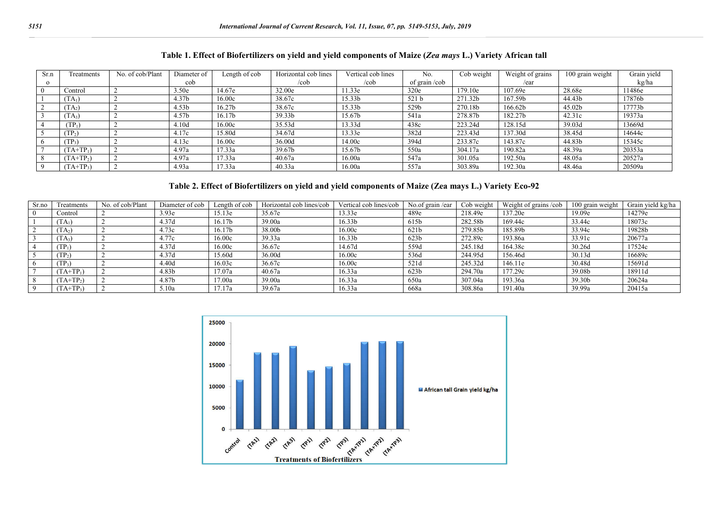| Sr.n     | Freatments         | No. of cob/Plant | Diameter of       | Length of cob      | Horizontal cob lines | Vertical cob lines | No.           | Cob weight | Weight of grains | 100 grain weight | Grain vield |
|----------|--------------------|------------------|-------------------|--------------------|----------------------|--------------------|---------------|------------|------------------|------------------|-------------|
| $\Omega$ |                    |                  | cob               |                    | /cob                 | /cob               | of grain /cob |            | /ear             |                  | kg/ha       |
|          | Control            |                  | 3.50e             | 14.67e             | 32.00e               | 11.33e             | 320e          | 179.10e    | 107.69e          | 28.68e           | 1486e       |
|          | $TA_1$             |                  | 4.37 <sub>b</sub> | 16.00c             | 38.67c               | 15.33b             | 521 b         | 271.32b    | 167.59b          | 44.43b           | 17876b      |
|          | $T(A_2)$           |                  | 4.53 <sub>b</sub> | 16.27 <sub>b</sub> | 38.67c               | 15.33b             | 529b          | 270.18b    | 166.62b          | 45.02b           | 17773b      |
|          | $TA_3$             |                  | 4.57b             | 16.17b             | 39.33b               | 15.67b             | 541a          | 278.87b    | 182.27b          | 42.31c           | 19373a      |
|          | $\mathrm{TP}_1$    |                  | 4.10 <sub>d</sub> | 16.00c             | 35.53d               | 13.33d             | 438c          | 223.24d    | 128.15d          | 39.03d           | 13669d      |
|          | (TP <sub>2</sub> ) |                  | 4.17c             | 15.80d             | 34.67d               | 13.33e             | 382d          | 223.43d    | 137.30d          | 38.45d           | 14644c      |
| 6        | $TP_3$             |                  | 4.13c             | 16.00c             | 36.00d               | 14.00c             | 394d          | 233.87c    | 143.87c          | 44.83b           | 15345c      |
|          | $(TA+TP_1)$        |                  | 4.97a             | 17.33a             | 39.67b               | 15.67b             | 550a          | 304.17a    | 190.82a          | 48.39a           | 20353a      |
|          | $(TA+TP2)$         |                  | 4.97a             | 17.33a             | 40.67a               | 16.00a             | 547a          | 301.05a    | 192.50a          | 48.05a           | 20527a      |
|          | $(TA+TP_3)$        |                  | 4.93a             | 17.33a             | 40.33a               | 16.00a             | 557a          | 303.89a    | 192.30a          | 48.46a           | 20509a      |

#### **Table 1. Effect of Biofertilizers on yield and yield components of Maize (***Zea mays* **L.) Variety African tall**

## **Table 2. Effect of Biofertilizers on yield and yield components of Maize (Zea mays L.) Variety Eco-92**

| Sr.no | Treatments      | No. of cob/Plant | Diameter of cob   | Length of cob      | Horizontal cob lines/cob | Vertical cob lines/cob | No.of grain /ear | Cob weight | Weight of grains/cob | 100 grain weight | Grain vield kg/ha |
|-------|-----------------|------------------|-------------------|--------------------|--------------------------|------------------------|------------------|------------|----------------------|------------------|-------------------|
|       | Control         |                  | 3.93e             | 15.13e             | 35.67e                   | 13.33e                 | 489e             | 218.49e    | 137.20e              | 19.09e           | 14279e            |
|       | $TA_1$          |                  | 4.37d             | 16.17 <sub>b</sub> | 39.00a                   | 16.33 <sub>b</sub>     | 615b             | 282.58b    | 169.44c              | 33.44c           | 18073c            |
|       | $f(A_2)$        |                  | 4.73c             | 16.17 <sub>b</sub> | 38.00b                   | 16.00c                 | 621b             | 279.85b    | 185.89b              | 33.94c           | 19828b            |
|       | $TA_3)$         |                  | 4.77c             | 16.00c             | 39.33a                   | 16.33 <sub>b</sub>     | 623 <sub>b</sub> | 272.89c    | 193.86a              | 33.91c           | 20677a            |
|       | $TP_1$          |                  | 4.37d             | 16.00c             | 36.67c                   | 14.67d                 | 559d             | 245.18d    | 164.38c              | 30.26d           | 17524c            |
|       | TP <sub>2</sub> |                  | 4.37d             | 15.60d             | 36.00d                   | 16.00c                 | 536d             | 244.95d    | 156.46d              | 30.13d           | 16689c            |
|       | $TP_3$          |                  | 4.40d             | 16.03c             | 36.67c                   | 16.00c                 | 521d             | 245.32d    | 146.11e              | 30.48d           | 15691d            |
|       | $TA+TP_1$       |                  | 4.83 <sub>b</sub> | 17.07a             | 40.67a                   | 16.33a                 | 623 <sub>b</sub> | 294.70a    | 177.29c              | 39.08b           | 18911d            |
|       | $TA+TP2$        |                  | 4.87b             | 17.00a             | 39.00a                   | 16.33a                 | 650a             | 307.04a    | 193.36a              | 39.30b           | 20624a            |
|       | $TA+TP_3$       |                  | 5.10a             | 17.17a             | 39.67a                   | 16.33a                 | 668a             | 308.86a    | 191.40a              | 39.99a           | 20415a            |

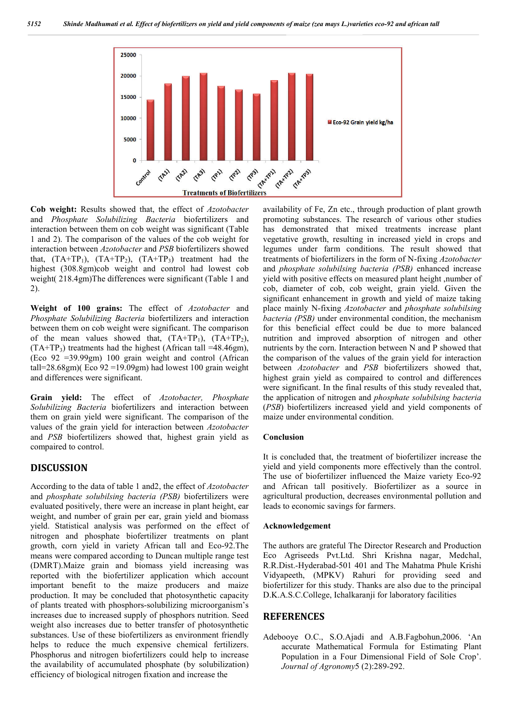

**Cob weight:** Results showed that, the effect of *Azotobacter*  and *Phosphate Solubilizing Bacteria* biofertilizers and interaction between them on cob weight was significant (Table 1 and 2). The comparison of the values of the cob weight for interaction between *Azotobacter* and *PSB* biofertilizers showed that,  $(TA+TP_1)$ ,  $(TA+TP_2)$ ,  $(TA+TP_3)$  treatment had the highest (308.8gm)cob weight and control had lowest cob weight( 218.4gm)The differences were significant (Table 1 and 2).

**Weight of 100 grains:** The effect of *Azotobacter* and *Phosphate Solubilizing Bacteria* biofertilizers and interaction between them on cob weight were significant. The comparison of the mean values showed that,  $(TA+TP_1)$ ,  $(TA+TP_2)$ ,  $(TA+TP_3)$  treatments had the highest (African tall =48.46gm), (Eco 92 =39.99gm) 100 grain weight and control (African tall=28.68gm)( Eco 92 =19.09gm) had lowest 100 grain weight and differences were significant.

**Grain yield:** The effect of *Azotobacter, Phosphate Solubilizing Bacteria* biofertilizers and interaction between them on grain yield were significant. The comparison of the values of the grain yield for interaction between *Azotobacter*  and *PSB* biofertilizers showed that, highest grain yield as compaired to control.

## **DISCUSSION**

According to the data of table 1 and2, the effect of *Azotobacter* and *phosphate solubilsing bacteria (PSB)* biofertilizers were evaluated positively, there were an increase in plant height, ear weight, and number of grain per ear, grain yield and biomass yield. Statistical analysis was performed on the effect of nitrogen and phosphate biofertilizer treatments on plant growth, corn yield in variety African tall and Eco-92.The means were compared according to Duncan multiple range test (DMRT).Maize grain and biomass yield increasing was reported with the biofertilizer application which account important benefit to the maize producers and maize production. It may be concluded that photosynthetic capacity of plants treated with phosphors-solubilizing microorganism's increases due to increased supply of phosphors nutrition. Seed weight also increases due to better transfer of photosynthetic substances. Use of these biofertilizers as environment friendly helps to reduce the much expensive chemical fertilizers. Phosphorus and nitrogen biofertilizers could help to increase the availability of accumulated phosphate (by solubilization) efficiency of biological nitrogen fixation and increase the

availability of Fe, Zn etc., through production of plant growth promoting substances. The research of various other studies has demonstrated that mixed treatments increase plant vegetative growth, resulting in increased yield in crops and legumes under farm conditions. The result showed that treatments of biofertilizers in the form of N-fixing *Azotobacter*  and *phosphate solubilsing bacteria (PSB)* enhanced increase yield with positive effects on measured plant height ,number of cob, diameter of cob, cob weight, grain yield. Given the significant enhancement in growth and yield of maize taking place mainly N-fixing *Azotobacter* and *phosphate solubilsing bacteria (PSB)* under environmental condition, the mechanism for this beneficial effect could be due to more balanced nutrition and improved absorption of nitrogen and other nutrients by the corn. Interaction between N and P showed that the comparison of the values of the grain yield for interaction between *Azotobacter* and *PSB* biofertilizers showed that, highest grain yield as compaired to control and differences were significant. In the final results of this study revealed that, the application of nitrogen and *phosphate solubilsing bacteria* (*PSB*) biofertilizers increased yield and yield components of maize under environmental condition.

### **Conclusion**

It is concluded that, the treatment of biofertilizer increase the yield and yield components more effectively than the control. The use of biofertilizer influenced the Maize variety Eco-92 and African tall positively. Biofertilizer as a source in agricultural production, decreases environmental pollution and leads to economic savings for farmers.

#### **Acknowledgement**

The authors are grateful The Director Research and Production Eco Agriseeds Pvt.Ltd. Shri Krishna nagar, Medchal, R.R.Dist.-Hyderabad-501 401 and The Mahatma Phule Krishi Vidyapeeth, (MPKV) Rahuri for providing seed and biofertilizer for this study. Thanks are also due to the principal D.K.A.S.C.College, Ichalkaranji for laboratory facilities

## **REFERENCES**

Adebooye O.C., S.O.Ajadi and A.B.Fagbohun,2006. 'An accurate Mathematical Formula for Estimating Plant Population in a Four Dimensional Field of Sole Crop'. *Journal of Agronomy*5 (2):289-292.